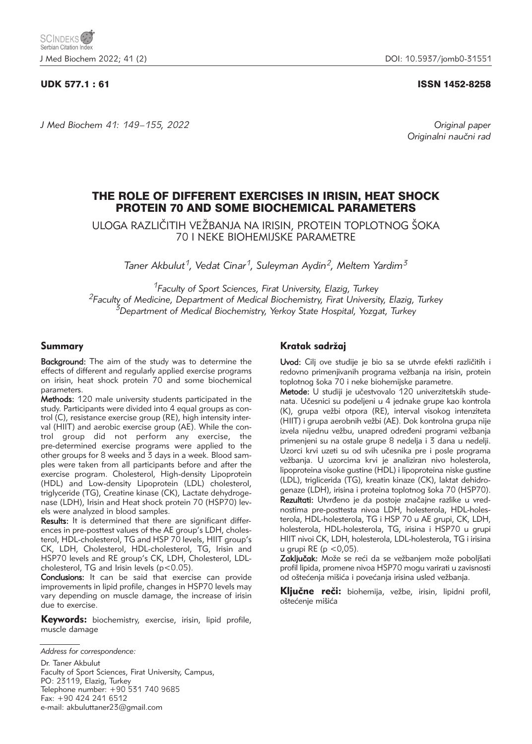### UDK 577.1 : 61 ISSN 1452-8258

*J Med Biochem 41: 149–155, 2022 Original paper*

Originalni naučni rad

# THE ROLE OF DIFFERENT EXERCISES IN IRISIN, HEAT SHOCK PROTEIN 70 AND SOME BIOCHEMICAL PARAMETERS

ULOGA RAZLIČITIH VEŽBANJA NA IRISIN, PROTEIN TOPLOTNOG ŠOKA 70 I NEKE BIOHEMIJSKE PARAMETRE

*Taner Akbulut1, Vedat Cinar1, Suleyman Aydin2, Meltem Yardim3*

*1Faculty of Sport Sciences, Firat University, Elazig, Turkey 2Faculty of Medicine, Department of Medical Biochemistry, Firat University, Elazig, Turkey 3Department of Medical Biochemistry, Yerkoy State Hospital, Yozgat, Turkey*

#### Summary

**Background:** The aim of the study was to determine the effects of different and regularly applied exercise programs on irisin, heat shock protein 70 and some biochemical parameters.

Methods: 120 male university students participated in the study. Participants were divided into 4 equal groups as control (C), resistance exercise group (RE), high intensity interval (HIIT) and aerobic exercise group (AE). While the control group did not perform any exercise, the pre-determined exercise programs were applied to the other groups for 8 weeks and 3 days in a week. Blood samples were taken from all participants before and after the exercise program. Cholesterol, High-density Lipoprotein (HDL) and Low-density Lipoprotein (LDL) cholesterol, triglyceride (TG), Creatine kinase (CK), Lactate dehydrogenase (LDH), Irisin and Heat shock protein 70 (HSP70) levels were analyzed in blood samples.

Results: It is determined that there are significant differences in pre-posttest values of the AE group's LDH, cholesterol, HDL-cholesterol, TG and HSP 70 levels, HIIT group's CK, LDH, Cholesterol, HDL-cholesterol, TG, Irisin and HSP70 levels and RE group's CK, LDH, Cholesterol, LDLcholesterol, TG and Irisin levels (p<0.05).

Conclusions: It can be said that exercise can provide improvements in lipid profile, changes in HSP70 levels may vary depending on muscle damage, the increase of irisin due to exercise.

Keywords: biochemistry, exercise, irisin, lipid profile, muscle damage

Dr. Taner Akbulut Faculty of Sport Sciences, Firat University, Campus, PO: 23119, Elazig, Turkey Telephone number: +90 531 740 9685 Fax: +90 424 241 6512 e-mail: akbuluttaner23@gmail.com

### Kratak sadržaj

Uvod: Cili ove studije je bio sa se utvrde efekti različitih i redovno primenjivanih programa vežbanja na irisin, protein toplotnog šoka 70 i neke biohemijske parametre.

Metode: U studiji je učestvovalo 120 univerzitetskih studenata. Učesnici su podeljeni u 4 jednake grupe kao kontrola (K), grupa vežbi otpora (RE), interval visokog intenziteta (HIIT) i grupa aerobnih vežbi (AE). Dok kontrolna grupa nije izvela nijednu vežbu, unapred određeni programi vežbanja primenjeni su na ostale grupe 8 nedelja i 3 dana u nedelji. Uzorci krvi uzeti su od svih učesnika pre i posle programa vežbanja. U uzorcima krvi je analiziran nivo holesterola, lipoproteina visoke gustine (HDL) i lipoproteina niske gustine (LDL), triglicerida (TG), kreatin kinaze (CK), laktat dehidrogenaze (LDH), irisina i proteina toplotnog šoka 70 (HSP70). Rezultati: Utvrđeno je da postoje značajne razlike u vrednostima pre-posttesta nivoa LDH, holesterola, HDL-holesterola, HDL-holesterola, TG i HSP 70 u AE grupi, CK, LDH, holesterola, HDL-holesterola, TG, irisina i HSP70 u grupi HIIT nivoi CK, LDH, holesterola, LDL-holesterola, TG i irisina u grupi RE ( $p < 0.05$ ).

Zaključak: Može se reći da se vežbanjem može poboljšati profil lipida, promene nivoa HSP70 mogu varirati u zavisnosti od oštećenja mišića i povećanja irisina usled vežbanja.

Ključne reči: biohemija, vežbe, irisin, lipidni profil, oštećenje mišića

*Address for correspondence:*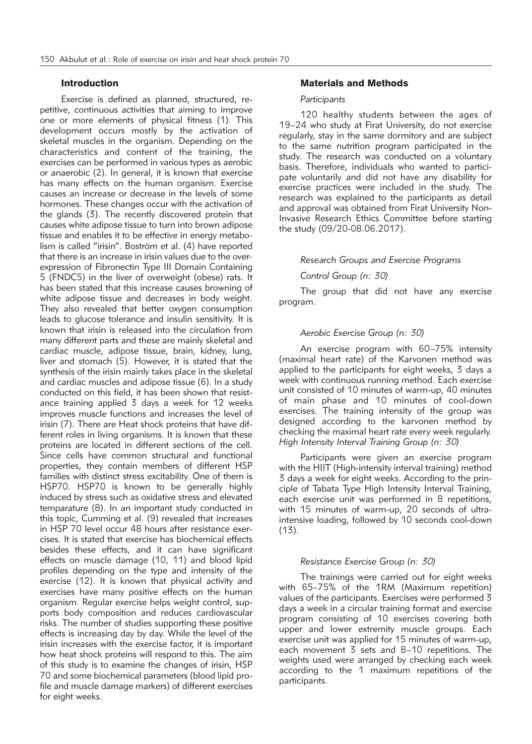## Introduction

Exercise is defined as planned, structured, repetitive, continuous activities that aiming to improve one or more elements of physical fitness (1). This development occurs mostly by the activation of skeletal muscles in the organism. Depending on the characteristics and content of the training, the exercises can be performed in various types as aerobic or anaerobic (2). In general, it is known that exercise has many effects on the human organism. Exercise causes an increase or decrease in the levels of some hormones. These changes occur with the activation of the glands (3). The recently discovered protein that causes white adipose tissue to turn into brown adipose tissue and enables it to be effective in energy metabolism is called "irisin". Boström et al. (4) have reported that there is an increase in irisin values due to the overexpression of Fibronectin Type III Domain Containing 5 (FNDC5) in the liver of overweight (obese) rats. It has been stated that this increase causes browning of white adipose tissue and decreases in body weight. They also revealed that better oxygen consumption leads to glucose tolerance and insulin sensitivity. It is known that irisin is released into the circulation from many different parts and these are mainly skeletal and cardiac muscle, adipose tissue, brain, kidney, lung, liver and stomach (5). However, it is stated that the synthesis of the irisin mainly takes place in the skeletal and cardiac muscles and adipose tissue (6). In a study conducted on this field, it has been shown that resistance training applied 3 days a week for 12 weeks improves muscle functions and increases the level of irisin (7). There are Heat shock proteins that have different roles in living organisms. It is known that these proteins are located in different sections of the cell. Since cells have common structural and functional properties, they contain members of different HSP families with distinct stress excitability. One of them is HSP70. HSP70 is known to be generally highly induced by stress such as oxidative stress and elevated temparature (8). In an important study conducted in this topic, Cumming et al. (9) revealed that increases in HSP 70 level occur 48 hours after resistance exercises. It is stated that exercise has biochemical effects besides these effects, and it can have significant effects on muscle damage (10, 11) and blood lipid profiles depending on the type and intensity of the exercise (12). It is known that physical activity and exercises have many positive effects on the human organism. Regular exercise helps weight control, supports body composition and reduces cardiovascular risks. The number of studies supporting these positive effects is increasing day by day. While the level of the irisin increases with the exercise factor, it is important how heat shock proteins will respond to this. The aim of this study is to examine the changes of irisin, HSP 70 and some biochemical parameters (blood lipid profile and muscle damage markers) of different exercises for eight weeks.

### Materials and Methods

### *Participants*

120 healthy students between the ages of 19–24 who study at Firat University, do not exercise regularly, stay in the same dormitory and are subject to the same nutrition program participated in the study. The research was conducted on a voluntary basis. Therefore, individuals who wanted to participate voluntarily and did not have any disability for exercise practices were included in the study. The research was explained to the participants as detail and approval was obtained from Firat University Non-Invasive Research Ethics Committee before starting the study (09/20-08.06.2017).

#### *Research Groups and Exercise Programs*

#### *Control Group (n: 30)*

The group that did not have any exercise program.

### *Aerobic Exercise Group (n: 30)*

An exercise program with 60–75% intensity (maximal heart rate) of the Karvonen method was applied to the participants for eight weeks, 3 days a week with continuous running method. Each exercise unit consisted of 10 minutes of warm-up, 40 minutes of main phase and 10 minutes of cool-down exercises. The training intensity of the group was designed according to the karvonen method by checking the maximal heart rate every week regularly. *High Intensity Interval Training Group (n: 30)*

Participants were given an exercise program with the HIIT (High-intensity interval training) method 3 days a week for eight weeks. According to the principle of Tabata Type High Intensity Interval Training, each exercise unit was performed in 8 repetitions, with 15 minutes of warm-up, 20 seconds of ultraintensive loading, followed by 10 seconds cool-down  $(13)$ .

### *Resistance Exercise Group (n: 30)*

The trainings were carried out for eight weeks with 65–75% of the 1RM (Maximum repetition) values of the participants. Exercises were performed 3 days a week in a circular training format and exercise program consisting of 10 exercises covering both upper and lower extremity muscle groups. Each exercise unit was applied for 15 minutes of warm-up, each movement 3 sets and 8–10 repetitions. The weights used were arranged by checking each week according to the 1 maximum repetitions of the participants.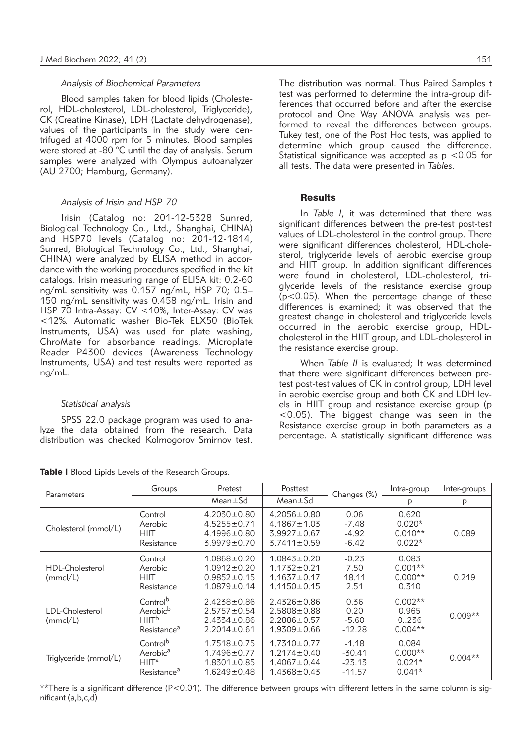# *Analysis of Biochemical Parameters*

Blood samples taken for blood lipids (Cholesterol, HDL-cholesterol, LDL-cholesterol, Triglyceride), CK (Creatine Kinase), LDH (Lactate dehydrogenase), values of the participants in the study were centrifuged at 4000 rpm for 5 minutes. Blood samples were stored at -80 °C until the day of analysis. Serum samples were analyzed with Olympus autoanalyzer (AU 2700; Hamburg, Germany).

#### *Analysis of Irisin and HSP 70*

Irisin (Catalog no: 201-12-5328 Sunred, Biological Technology Co., Ltd., Shanghai, CHINA) and HSP70 levels (Catalog no: 201-12-1814, Sunred, Biological Technology Co., Ltd., Shanghai, CHINA) were analyzed by ELISA method in accordance with the working procedures specified in the kit catalogs. Irisin measuring range of ELISA kit: 0.2-60 ng/mL sensitivity was 0.157 ng/mL, HSP 70; 0.5– 150 ng/mL sensitivity was 0.458 ng/mL. Irisin and HSP 70 Intra-Assay: CV <10%, Inter-Assay: CV was <12%. Automatic washer Bio-Tek ELX50 (BioTek Instruments, USA) was used for plate washing, ChroMate for absorbance readings, Microplate Reader P4300 devices (Awareness Technology Instruments, USA) and test results were reported as ng/mL.

#### *Statistical analysis*

SPSS 22.0 package program was used to analyze the data obtained from the research. Data distribution was checked Kolmogorov Smirnov test.

|  |  |  |  |  |  | Table I Blood Lipids Levels of the Research Groups. |  |
|--|--|--|--|--|--|-----------------------------------------------------|--|
|--|--|--|--|--|--|-----------------------------------------------------|--|

The distribution was normal. Thus Paired Samples t test was performed to determine the intra-group differences that occurred before and after the exercise protocol and One Way ANOVA analysis was performed to reveal the differences between groups. Tukey test, one of the Post Hoc tests, was applied to determine which group caused the difference. Statistical significance was accepted as  $p < 0.05$  for all tests. The data were presented in *Tables*.

#### **Results**

In *Table I*, it was determined that there was significant differences between the pre-test post-test values of LDL-cholesterol in the control group. There were significant differences cholesterol, HDL-cholesterol, triglyceride levels of aerobic exercise group and HIIT group. In addition significant differences were found in cholesterol, LDL-cholesterol, triglyceride levels of the resistance exercise group (p<0.05). When the percentage change of these differences is examined; it was observed that the greatest change in cholesterol and triglyceride levels occurred in the aerobic exercise group, HDLcholesterol in the HIIT group, and LDL-cholesterol in the resistance exercise group.

When *Table II* is evaluated; It was determined that there were significant differences between pretest post-test values of CK in control group, LDH level in aerobic exercise group and both CK and LDH levels in HIIT group and resistance exercise group (p <0.05). The biggest change was seen in the Resistance exercise group in both parameters as a percentage. A statistically significant difference was

| Parameters                         | Groups                                                                                       | Pretest                                                                          | Posttest                                                                         |                                             | Intra-group                                | Inter-groups |
|------------------------------------|----------------------------------------------------------------------------------------------|----------------------------------------------------------------------------------|----------------------------------------------------------------------------------|---------------------------------------------|--------------------------------------------|--------------|
|                                    |                                                                                              | $Mean \pm Sd$                                                                    | $Mean \pm Sd$                                                                    | Changes (%)                                 | p                                          | p            |
| Cholesterol (mmol/L)               | Control<br>Aerobic<br><b>HIIT</b><br>Resistance                                              | $4.2030 \pm 0.80$<br>$4.5255 \pm 0.71$<br>$4.1996 \pm 0.80$<br>$3.9979 \pm 0.70$ | $4.2056 \pm 0.80$<br>$4.1867 \pm 1.03$<br>$3.9927 \pm 0.67$<br>$3.7411 \pm 0.59$ | 0.06<br>$-7.48$<br>$-4.92$<br>$-6.42$       | 0.620<br>$0.020*$<br>$0.010**$<br>$0.022*$ | 0.089        |
| <b>HDL-Cholesterol</b><br>(mmol/L) | Control<br>Aerobic<br><b>HIIT</b><br>Resistance                                              | $1.0868 \pm 0.20$<br>$1.0912 \pm 0.20$<br>$0.9852 \pm 0.15$<br>$1.0879 \pm 0.14$ | $1.0843 \pm 0.20$<br>$1.1732 + 0.21$<br>$1.1637 \pm 0.17$<br>$1.1150 \pm 0.15$   | $-0.23$<br>7.50<br>18.11<br>2.51            | 0.083<br>$0.001**$<br>$0.000**$<br>0.310   | 0.219        |
| LDL-Cholesterol<br>(mmol/L)        | Control <sup>b</sup><br>Aerobic <sup>b</sup><br>HIIT <sup>b</sup><br>Resistance <sup>a</sup> | $2.4238 \pm 0.86$<br>$2.5757 \pm 0.54$<br>$2.4334 \pm 0.86$<br>$2.2014 \pm 0.61$ | $2.4326 \pm 0.86$<br>$2.5808 \pm 0.88$<br>$2.2886 \pm 0.57$<br>$1.9309 \pm 0.66$ | 0.36<br>0.20<br>$-5.60$<br>$-12.28$         | $0.002**$<br>0.965<br>0.236<br>$0.004**$   | $0.009**$    |
| Triglyceride (mmol/L)              | Control <sup>b</sup><br>Aerobic <sup>a</sup><br>HIIT <sup>a</sup><br>Resistance <sup>a</sup> | $1.7518 \pm 0.75$<br>$1.7496 \pm 0.77$<br>$1.8301 \pm 0.85$<br>$1.6249 \pm 0.48$ | $1.7310 \pm 0.77$<br>$1.2174 \pm 0.40$<br>$1.4067 \pm 0.44$<br>$1.4368 \pm 0.43$ | $-1.18$<br>$-30.41$<br>$-23.13$<br>$-11.57$ | 0.084<br>$0.000**$<br>$0.021*$<br>$0.041*$ | $0.004**$    |

\*\*There is a significant difference (P<0.01). The difference between groups with different letters in the same column is significant (a,b,c,d)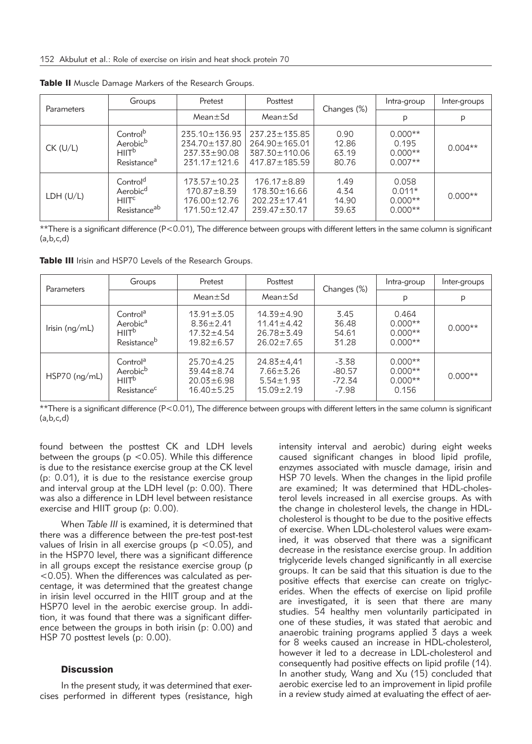| Parameters | Groups                                                                                       | Pretest                                                                                | Posttest                                                                            | Changes (%)                     | Intra-group                                  | Inter-groups |
|------------|----------------------------------------------------------------------------------------------|----------------------------------------------------------------------------------------|-------------------------------------------------------------------------------------|---------------------------------|----------------------------------------------|--------------|
|            |                                                                                              | $Mean \pm Sd$                                                                          | $Mean \pm Sd$                                                                       |                                 | p                                            | p            |
| $CK$ (U/L) | Control <sup>b</sup><br>Aerobic <sup>b</sup><br>HIIT <sup>b</sup><br>Resistance <sup>a</sup> | $235.10 \pm 136.93$<br>$234.70 \pm 137.80$<br>$237.33 \pm 90.08$<br>$231.17 \pm 121.6$ | $237.23 \pm 135.85$<br>$264.90 \pm 165.01$<br>387.30±110.06<br>$417.87 \pm 185.59$  | 0.90<br>12.86<br>63.19<br>80.76 | $0.000**$<br>0.195<br>$0.000**$<br>$0.007**$ | $0.004**$    |
| LDH (U/L)  | Control <sup>d</sup><br>Aerobic <sup>d</sup><br>HIITC<br>Resistance <sup>ab</sup>            | $173.57 \pm 10.23$<br>$170.87 \pm 8.39$<br>$176.00 \pm 12.76$<br>$171.50 \pm 12.47$    | $176.17 \pm 8.89$<br>$178.30 \pm 16.66$<br>$202.23 \pm 17.41$<br>$239.47 \pm 30.17$ | 1.49<br>4.34<br>14.90<br>39.63  | 0.058<br>$0.011*$<br>$0.000**$<br>$0.000**$  | $0.000**$    |

Table II Muscle Damage Markers of the Research Groups.

\*\*There is a significant difference (P<0.01), The difference between groups with different letters in the same column is significant  $(a.b.c.d)$ 

Table III Irisin and HSP70 Levels of the Research Groups.

| Parameters      | Groups                                                                                       | Pretest                                                                      | Posttest                                                                   | Changes (%)                                | Intra-group                                  | Inter-groups |
|-----------------|----------------------------------------------------------------------------------------------|------------------------------------------------------------------------------|----------------------------------------------------------------------------|--------------------------------------------|----------------------------------------------|--------------|
|                 |                                                                                              | $Mean \pm Sd$                                                                | $Mean \pm Sd$                                                              |                                            | p                                            | p            |
| Irisin (ng/mL)  | Control <sup>a</sup><br>Aerobic <sup>a</sup><br>HIIT <sup>b</sup><br>Resistance <sup>b</sup> | $13.91 \pm 3.05$<br>$8.36 \pm 2.41$<br>$17.32 \pm 4.54$<br>$19.82 \pm 6.57$  | $14.39 + 4.90$<br>$11.41 \pm 4.42$<br>$26.78 \pm 3.49$<br>$26.02 \pm 7.65$ | 3.45<br>36.48<br>54.61<br>31.28            | 0.464<br>$0.000**$<br>$0.000**$<br>$0.000**$ | $0.000**$    |
| $HSP70$ (ng/mL) | Control <sup>a</sup><br>Aerobic <sup>b</sup><br>HIIT <sup>b</sup><br>Resistance <sup>c</sup> | $25.70 \pm 4.25$<br>$39.44 \pm 8.74$<br>$20.03 \pm 6.98$<br>$16.40 \pm 5.25$ | $24.83 \pm 4.41$<br>$7.66 \pm 3.26$<br>$5.54 \pm 1.93$<br>$15.09 \pm 2.19$ | $-5.38$<br>$-80.57$<br>$-72.34$<br>$-7.98$ | $0.000**$<br>$0.000**$<br>$0.000**$<br>0.156 | $0.000**$    |

\*\*There is a significant difference (P<0.01), The difference between groups with different letters in the same column is significant  $(a,b,c,d)$ 

found between the posttest CK and LDH levels between the groups ( $p$  <0.05). While this difference is due to the resistance exercise group at the CK level (p: 0.01), it is due to the resistance exercise group and interval group at the LDH level (p: 0.00). There was also a difference in LDH level between resistance exercise and HIIT group (p: 0.00).

When *Table III* is examined, it is determined that there was a difference between the pre-test post-test values of Irisin in all exercise groups ( $p < 0.05$ ), and in the HSP70 level, there was a significant difference in all groups except the resistance exercise group (p <0.05). When the differences was calculated as percentage, it was determined that the greatest change in irisin level occurred in the HIIT group and at the HSP70 level in the aerobic exercise group. In addition, it was found that there was a significant difference between the groups in both irisin (p: 0.00) and HSP 70 posttest levels (p: 0.00).

# **Discussion**

In the present study, it was determined that exercises performed in different types (resistance, high intensity interval and aerobic) during eight weeks caused significant changes in blood lipid profile, enzymes associated with muscle damage, irisin and HSP 70 levels. When the changes in the lipid profile are examined; It was determined that HDL-cholesterol levels increased in all exercise groups. As with the change in cholesterol levels, the change in HDLcholesterol is thought to be due to the positive effects of exercise. When LDL-cholesterol values were examined, it was observed that there was a significant decrease in the resistance exercise group. In addition triglyceride levels changed significantly in all exercise groups. It can be said that this situation is due to the positive effects that exercise can create on triglycerides. When the effects of exercise on lipid profile are investigated, it is seen that there are many studies. 54 healthy men voluntarily participated in one of these studies, it was stated that aerobic and anaerobic training programs applied 3 days a week for 8 weeks caused an increase in HDL-cholesterol, however it led to a decrease in LDL-cholesterol and consequently had positive effects on lipid profile (14). In another study, Wang and Xu (15) concluded that aerobic exercise led to an improvement in lipid profile in a review study aimed at evaluating the effect of aer-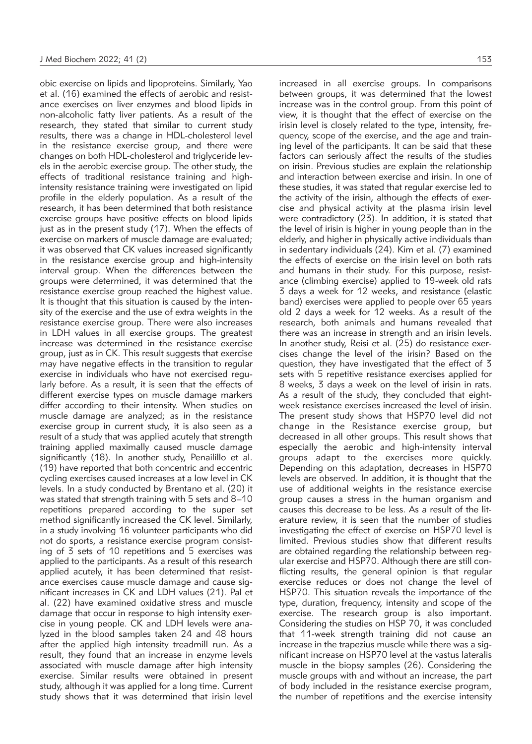obic exercise on lipids and lipoproteins. Similarly, Yao et al. (16) examined the effects of aerobic and resistance exercises on liver enzymes and blood lipids in non-alcoholic fatty liver patients. As a result of the research, they stated that similar to current study results, there was a change in HDL-cholesterol level in the resistance exercise group, and there were changes on both HDL-cholesterol and triglyceride levels in the aerobic exercise group. The other study, the effects of traditional resistance training and highintensity resistance training were investigated on lipid profile in the elderly population. As a result of the research, it has been determined that both resistance exercise groups have positive effects on blood lipids just as in the present study (17). When the effects of exercise on markers of muscle damage are evaluated; it was observed that CK values increased significantly in the resistance exercise group and high-intensity interval group. When the differences between the groups were determined, it was determined that the resistance exercise group reached the highest value. It is thought that this situation is caused by the intensity of the exercise and the use of extra weights in the resistance exercise group. There were also increases in LDH values in all exercise groups. The greatest increase was determined in the resistance exercise group, just as in CK. This result suggests that exercise may have negative effects in the transition to regular exercise in individuals who have not exercised regularly before. As a result, it is seen that the effects of different exercise types on muscle damage markers differ according to their intensity. When studies on muscle damage are analyzed; as in the resistance exercise group in current study, it is also seen as a result of a study that was applied acutely that strength training applied maximally caused muscle damage significantly (18). In another study, Penailillo et al. (19) have reported that both concentric and eccentric cycling exercises caused increases at a low level in CK levels. In a study conducted by Brentano et al. (20) it was stated that strength training with 5 sets and 8–10 repetitions prepared according to the super set method significantly increased the CK level. Similarly, in a study involving 16 volunteer participants who did not do sports, a resistance exercise program consisting of 3 sets of 10 repetitions and 5 exercises was applied to the participants. As a result of this research applied acutely, it has been determined that resistance exercises cause muscle damage and cause significant increases in CK and LDH values (21). Pal et al. (22) have examined oxidative stress and muscle damage that occur in response to high intensity exercise in young people. CK and LDH levels were analyzed in the blood samples taken 24 and 48 hours after the applied high intensity treadmill run. As a result, they found that an increase in enzyme levels associated with muscle damage after high intensity exercise. Similar results were obtained in present study, although it was applied for a long time. Current study shows that it was determined that irisin level

increased in all exercise groups. In comparisons between groups, it was determined that the lowest increase was in the control group. From this point of view, it is thought that the effect of exercise on the irisin level is closely related to the type, intensity, frequency, scope of the exercise, and the age and training level of the participants. It can be said that these factors can seriously affect the results of the studies on irisin. Previous studies are explain the relationship and interaction between exercise and irisin. In one of these studies, it was stated that regular exercise led to the activity of the irisin, although the effects of exercise and physical activity at the plasma irisin level were contradictory (23). In addition, it is stated that the level of irisin is higher in young people than in the elderly, and higher in physically active individuals than in sedentary individuals (24). Kim et al. (7) examined the effects of exercise on the irisin level on both rats and humans in their study. For this purpose, resistance (climbing exercise) applied to 19-week old rats 3 days a week for 12 weeks, and resistance (elastic band) exercises were applied to people over 65 years old 2 days a week for 12 weeks. As a result of the research, both animals and humans revealed that there was an increase in strength and an irisin levels. In another study, Reisi et al. (25) do resistance exercises change the level of the irisin? Based on the question, they have investigated that the effect of 3 sets with 5 repetitive resistance exercises applied for 8 weeks, 3 days a week on the level of irisin in rats. As a result of the study, they concluded that eightweek resistance exercises increased the level of irisin. The present study shows that HSP70 level did not change in the Resistance exercise group, but decreased in all other groups. This result shows that especially the aerobic and high-intensity interval groups adapt to the exercises more quickly. Depending on this adaptation, decreases in HSP70 levels are observed. In addition, it is thought that the use of additional weights in the resistance exercise group causes a stress in the human organism and causes this decrease to be less. As a result of the literature review, it is seen that the number of studies investigating the effect of exercise on HSP70 level is limited. Previous studies show that different results are obtained regarding the relationship between regular exercise and HSP70. Although there are still conflicting results, the general opinion is that regular exercise reduces or does not change the level of HSP70. This situation reveals the importance of the type, duration, frequency, intensity and scope of the exercise. The research group is also important. Considering the studies on HSP 70, it was concluded that 11-week strength training did not cause an increase in the trapezius muscle while there was a significant increase on HSP70 level at the vastus lateralis muscle in the biopsy samples (26). Considering the muscle groups with and without an increase, the part of body included in the resistance exercise program, the number of repetitions and the exercise intensity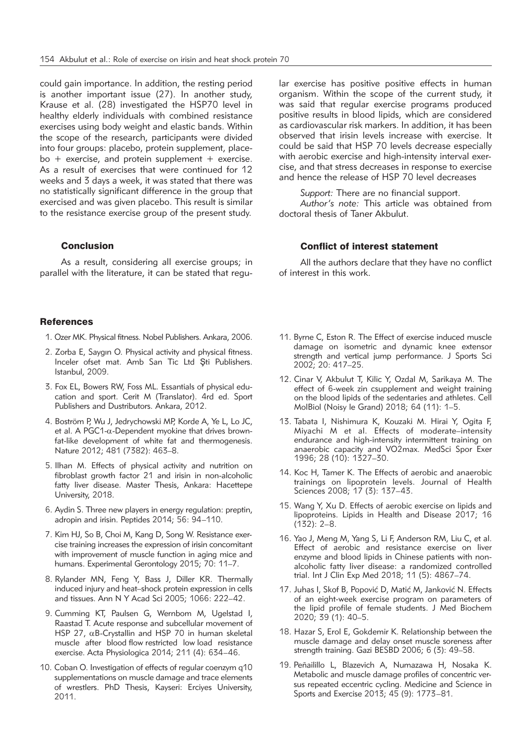could gain importance. In addition, the resting period is another important issue (27). In another study, Krause et al. (28) investigated the HSP70 level in healthy elderly individuals with combined resistance exercises using body weight and elastic bands. Within the scope of the research, participants were divided into four groups: placebo, protein supplement, placebo  $+$  exercise, and protein supplement  $+$  exercise. As a result of exercises that were continued for 12 weeks and 3 days a week, it was stated that there was no statistically significant difference in the group that exercised and was given placebo. This result is similar to the resistance exercise group of the present study.

### Conclusion

As a result, considering all exercise groups; in parallel with the literature, it can be stated that regu-

#### **References**

- 1. Ozer MK. Physical fitness. Nobel Publishers. Ankara, 2006.
- 2. Zorba E, Saygın O. Physical activity and physical fitness. Inceler ofset mat. Amb San Tic Ltd Şti Publishers. Istanbul, 2009.
- 3. Fox EL, Bowers RW, Foss ML. Essantials of physical education and sport. Cerit M (Translator). 4rd ed. Sport Publishers and Dustributors. Ankara, 2012.
- 4. Boström P, Wu J, Jedrychowski MP, Korde A, Ye L, Lo JC, et al. A PGC1- $\alpha$ -Dependent myokine that drives brownfat-like development of white fat and thermogenesis. Nature 2012; 481 (7382): 463–8.
- 5. Ilhan M. Effects of physical activity and nutrition on fibroblast growth factor 21 and irisin in non-alcoholic fatty liver disease. Master Thesis, Ankara: Hacettepe University, 2018.
- 6. Aydin S. Three new players in energy regulation: preptin, adropin and irisin. Peptides 2014; 56: 94–110.
- 7. Kim HJ, So B, Choi M, Kang D, Song W. Resistance exercise training increases the expression of irisin concomitant with improvement of muscle function in aging mice and humans. Experimental Gerontology 2015; 70: 11–7.
- 8. Rylander MN, Feng Y, Bass J, Diller KR. Thermally induced injury and heat–shock protein expression in cells and tissues. Ann N Y Acad Sci 2005; 1066: 222–42.
- 9. Cumming KT, Paulsen G, Wernbom M, Ugelstad I, Raastad T. Acute response and subcellular movement of HSP 27,  $\alpha$ B-Crystallin and HSP 70 in human skeletal muscle after blood flow restricted low load resistance exercise. Acta Physiologica 2014; 211 (4): 634–46.
- 10. Coban O. Investigation of effects of regular coenzym q10 supplementations on muscle damage and trace elements of wrestlers. PhD Thesis, Kayseri: Erciyes University, 2011.

lar exercise has positive positive effects in human organism. Within the scope of the current study, it was said that regular exercise programs produced positive results in blood lipids, which are considered as cardiovascular risk markers. In addition, it has been observed that irisin levels increase with exercise. It could be said that HSP 70 levels decrease especially with aerobic exercise and high-intensity interval exercise, and that stress decreases in response to exercise and hence the release of HSP 70 level decreases

*Support:* There are no financial support.

*Author's note:* This article was obtained from doctoral thesis of Taner Akbulut.

#### Conflict of interest statement

All the authors declare that they have no conflict of interest in this work.

- 11. Byrne C, Eston R. The Effect of exercise induced muscle damage on isometric and dynamic knee extensor strength and vertical jump performance. J Sports Sci 2002; 20: 417–25.
- 12. Cinar V, Akbulut T, Kilic Y, Ozdal M, Sarikaya M. The effect of 6-week zin csupplement and weight training on the blood lipids of the sedentaries and athletes. Cell MolBiol (Noisy le Grand) 2018; 64 (11): 1–5.
- 13. Tabata I, Nishimura K, Kouzaki M. Hirai Y, Ogita F, Miyachi M et al. Effects of moderate–intensity endurance and high-intensity intermittent training on anaerobic capacity and VO2max. MedSci Spor Exer 1996; 28 (10): 1327–30.
- 14. Koc H, Tamer K. The Effects of aerobic and anaerobic trainings on lipoprotein levels. Journal of Health Sciences 2008; 17 (3): 137–43.
- 15. Wang Y, Xu D. Effects of aerobic exercise on lipids and lipoproteins. Lipids in Health and Disease 2017; 16 (132): 2–8.
- 16. Yao J, Meng M, Yang S, Li F, Anderson RM, Liu C, et al. Effect of aerobic and resistance exercise on liver enzyme and blood lipids in Chinese patients with nonalcoholic fatty liver disease: a randomized controlled trial. Int J Clin Exp Med 2018; 11 (5): 4867–74.
- 17. Juhas I, Skof B, Popović D, Matić M, Janković N. Effects of an eight-week exercise program on parameters of the lipid profile of female students. J Med Biochem 2020; 39 (1): 40–5.
- 18. Hazar S, Erol E, Gokdemir K. Relationship between the muscle damage and delay onset muscle soreness after strength training. Gazi BESBD 2006; 6 (3): 49–58.
- 19. Peñailillo L, Blazevich A, Numazawa H, Nosaka K. Metabolic and muscle damage profiles of concentric versus repeated eccentric cycling. Medicine and Science in Sports and Exercise 2013; 45 (9): 1773–81.